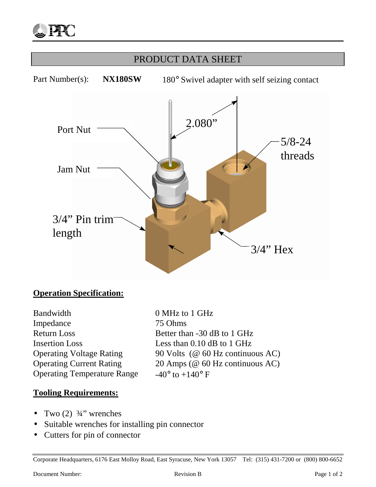

# PRODUCT DATA SHEET Part Number(s): **NX180SW** 180° Swivel adapter with self seizing contact 2.080" 5/8-24 threads  $3/4$ " Hex 3/4" Pin trim length Port Nut Jam Nut

## **Operation Specification:**

| Bandwidth                          |
|------------------------------------|
| Impedance                          |
| <b>Return Loss</b>                 |
| <b>Insertion Loss</b>              |
| <b>Operating Voltage Rating</b>    |
| <b>Operating Current Rating</b>    |
| <b>Operating Temperature Range</b> |

0 MHz to 1 GHz 75 Ohms Better than  $-30$  dB to 1 GHz Less than  $0.10$  dB to 1 GHz 90 Volts ( $@$  60 Hz continuous AC) 20 Amps (@ 60 Hz continuous AC) e  $-40^\circ$  to  $+140^\circ$  F

#### **Tooling Requirements:**

- Two  $(2)$   $\frac{3}{4}$ " wrenches
- Suitable wrenches for installing pin connector
- Cutters for pin of connector

Corporate Headquarters, 6176 East Molloy Road, East Syracuse, New York 13057 Tel: (315) 431-7200 or (800) 800-6652